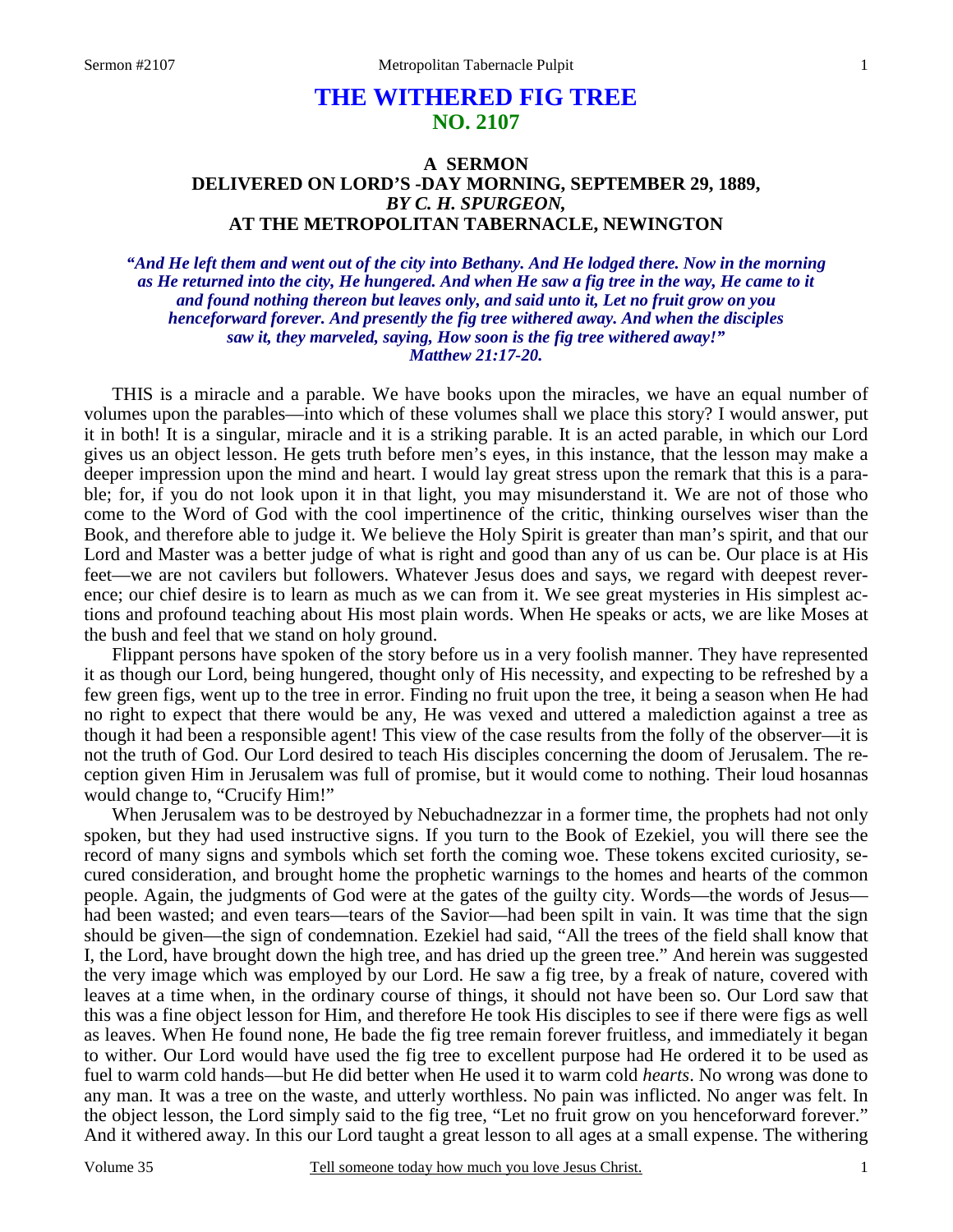# **THE WITHERED FIG TREE NO. 2107**

## **A SERMON DELIVERED ON LORD'S -DAY MORNING, SEPTEMBER 29, 1889,**  *BY C. H. SPURGEON,*  **AT THE METROPOLITAN TABERNACLE, NEWINGTON**

*"And He left them and went out of the city into Bethany. And He lodged there. Now in the morning as He returned into the city, He hungered. And when He saw a fig tree in the way, He came to it and found nothing thereon but leaves only, and said unto it, Let no fruit grow on you henceforward forever. And presently the fig tree withered away. And when the disciples saw it, they marveled, saying, How soon is the fig tree withered away!" Matthew 21:17-20.* 

THIS is a miracle and a parable. We have books upon the miracles, we have an equal number of volumes upon the parables—into which of these volumes shall we place this story? I would answer, put it in both! It is a singular, miracle and it is a striking parable. It is an acted parable, in which our Lord gives us an object lesson. He gets truth before men's eyes, in this instance, that the lesson may make a deeper impression upon the mind and heart. I would lay great stress upon the remark that this is a parable; for, if you do not look upon it in that light, you may misunderstand it. We are not of those who come to the Word of God with the cool impertinence of the critic, thinking ourselves wiser than the Book, and therefore able to judge it. We believe the Holy Spirit is greater than man's spirit, and that our Lord and Master was a better judge of what is right and good than any of us can be. Our place is at His feet—we are not cavilers but followers. Whatever Jesus does and says, we regard with deepest reverence; our chief desire is to learn as much as we can from it. We see great mysteries in His simplest actions and profound teaching about His most plain words. When He speaks or acts, we are like Moses at the bush and feel that we stand on holy ground.

Flippant persons have spoken of the story before us in a very foolish manner. They have represented it as though our Lord, being hungered, thought only of His necessity, and expecting to be refreshed by a few green figs, went up to the tree in error. Finding no fruit upon the tree, it being a season when He had no right to expect that there would be any, He was vexed and uttered a malediction against a tree as though it had been a responsible agent! This view of the case results from the folly of the observer—it is not the truth of God. Our Lord desired to teach His disciples concerning the doom of Jerusalem. The reception given Him in Jerusalem was full of promise, but it would come to nothing. Their loud hosannas would change to, "Crucify Him!"

When Jerusalem was to be destroyed by Nebuchadnezzar in a former time, the prophets had not only spoken, but they had used instructive signs. If you turn to the Book of Ezekiel, you will there see the record of many signs and symbols which set forth the coming woe. These tokens excited curiosity, secured consideration, and brought home the prophetic warnings to the homes and hearts of the common people. Again, the judgments of God were at the gates of the guilty city. Words—the words of Jesus had been wasted; and even tears—tears of the Savior—had been spilt in vain. It was time that the sign should be given—the sign of condemnation. Ezekiel had said, "All the trees of the field shall know that I, the Lord, have brought down the high tree, and has dried up the green tree." And herein was suggested the very image which was employed by our Lord. He saw a fig tree, by a freak of nature, covered with leaves at a time when, in the ordinary course of things, it should not have been so. Our Lord saw that this was a fine object lesson for Him, and therefore He took His disciples to see if there were figs as well as leaves. When He found none, He bade the fig tree remain forever fruitless, and immediately it began to wither. Our Lord would have used the fig tree to excellent purpose had He ordered it to be used as fuel to warm cold hands—but He did better when He used it to warm cold *hearts*. No wrong was done to any man. It was a tree on the waste, and utterly worthless. No pain was inflicted. No anger was felt. In the object lesson, the Lord simply said to the fig tree, "Let no fruit grow on you henceforward forever." And it withered away. In this our Lord taught a great lesson to all ages at a small expense. The withering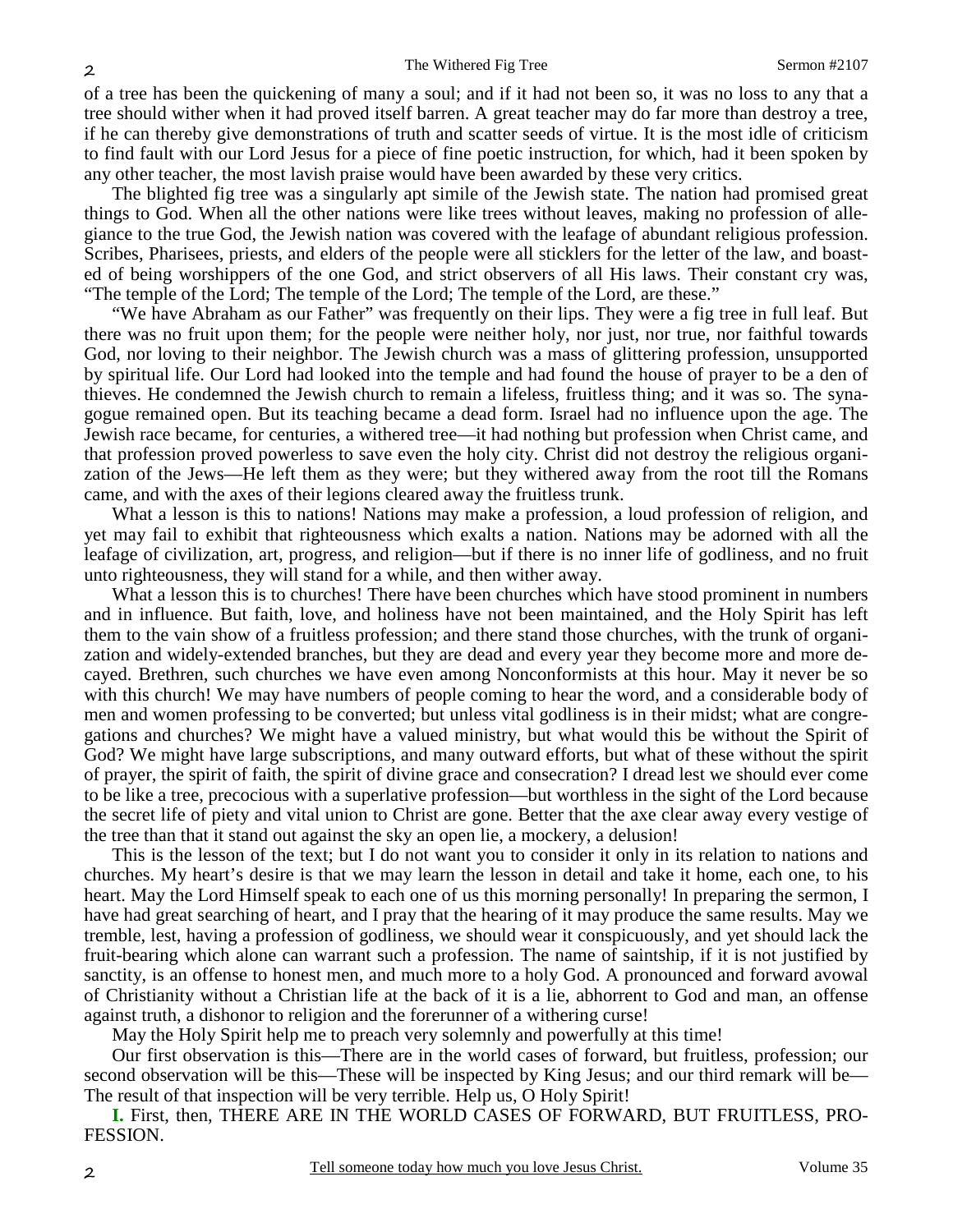of a tree has been the quickening of many a soul; and if it had not been so, it was no loss to any that a tree should wither when it had proved itself barren. A great teacher may do far more than destroy a tree, if he can thereby give demonstrations of truth and scatter seeds of virtue. It is the most idle of criticism to find fault with our Lord Jesus for a piece of fine poetic instruction, for which, had it been spoken by any other teacher, the most lavish praise would have been awarded by these very critics.

The blighted fig tree was a singularly apt simile of the Jewish state. The nation had promised great things to God. When all the other nations were like trees without leaves, making no profession of allegiance to the true God, the Jewish nation was covered with the leafage of abundant religious profession. Scribes, Pharisees, priests, and elders of the people were all sticklers for the letter of the law, and boasted of being worshippers of the one God, and strict observers of all His laws. Their constant cry was, "The temple of the Lord; The temple of the Lord; The temple of the Lord, are these."

"We have Abraham as our Father" was frequently on their lips. They were a fig tree in full leaf. But there was no fruit upon them; for the people were neither holy, nor just, nor true, nor faithful towards God, nor loving to their neighbor. The Jewish church was a mass of glittering profession, unsupported by spiritual life. Our Lord had looked into the temple and had found the house of prayer to be a den of thieves. He condemned the Jewish church to remain a lifeless, fruitless thing; and it was so. The synagogue remained open. But its teaching became a dead form. Israel had no influence upon the age. The Jewish race became, for centuries, a withered tree—it had nothing but profession when Christ came, and that profession proved powerless to save even the holy city. Christ did not destroy the religious organization of the Jews—He left them as they were; but they withered away from the root till the Romans came, and with the axes of their legions cleared away the fruitless trunk.

What a lesson is this to nations! Nations may make a profession, a loud profession of religion, and yet may fail to exhibit that righteousness which exalts a nation. Nations may be adorned with all the leafage of civilization, art, progress, and religion—but if there is no inner life of godliness, and no fruit unto righteousness, they will stand for a while, and then wither away.

What a lesson this is to churches! There have been churches which have stood prominent in numbers and in influence. But faith, love, and holiness have not been maintained, and the Holy Spirit has left them to the vain show of a fruitless profession; and there stand those churches, with the trunk of organization and widely-extended branches, but they are dead and every year they become more and more decayed. Brethren, such churches we have even among Nonconformists at this hour. May it never be so with this church! We may have numbers of people coming to hear the word, and a considerable body of men and women professing to be converted; but unless vital godliness is in their midst; what are congregations and churches? We might have a valued ministry, but what would this be without the Spirit of God? We might have large subscriptions, and many outward efforts, but what of these without the spirit of prayer, the spirit of faith, the spirit of divine grace and consecration? I dread lest we should ever come to be like a tree, precocious with a superlative profession—but worthless in the sight of the Lord because the secret life of piety and vital union to Christ are gone. Better that the axe clear away every vestige of the tree than that it stand out against the sky an open lie, a mockery, a delusion!

This is the lesson of the text; but I do not want you to consider it only in its relation to nations and churches. My heart's desire is that we may learn the lesson in detail and take it home, each one, to his heart. May the Lord Himself speak to each one of us this morning personally! In preparing the sermon, I have had great searching of heart, and I pray that the hearing of it may produce the same results. May we tremble, lest, having a profession of godliness, we should wear it conspicuously, and yet should lack the fruit-bearing which alone can warrant such a profession. The name of saintship, if it is not justified by sanctity, is an offense to honest men, and much more to a holy God. A pronounced and forward avowal of Christianity without a Christian life at the back of it is a lie, abhorrent to God and man, an offense against truth, a dishonor to religion and the forerunner of a withering curse!

May the Holy Spirit help me to preach very solemnly and powerfully at this time!

Our first observation is this—There are in the world cases of forward, but fruitless, profession; our second observation will be this—These will be inspected by King Jesus; and our third remark will be— The result of that inspection will be very terrible. Help us, O Holy Spirit!

**I.** First, then, THERE ARE IN THE WORLD CASES OF FORWARD, BUT FRUITLESS, PRO-FESSION.

2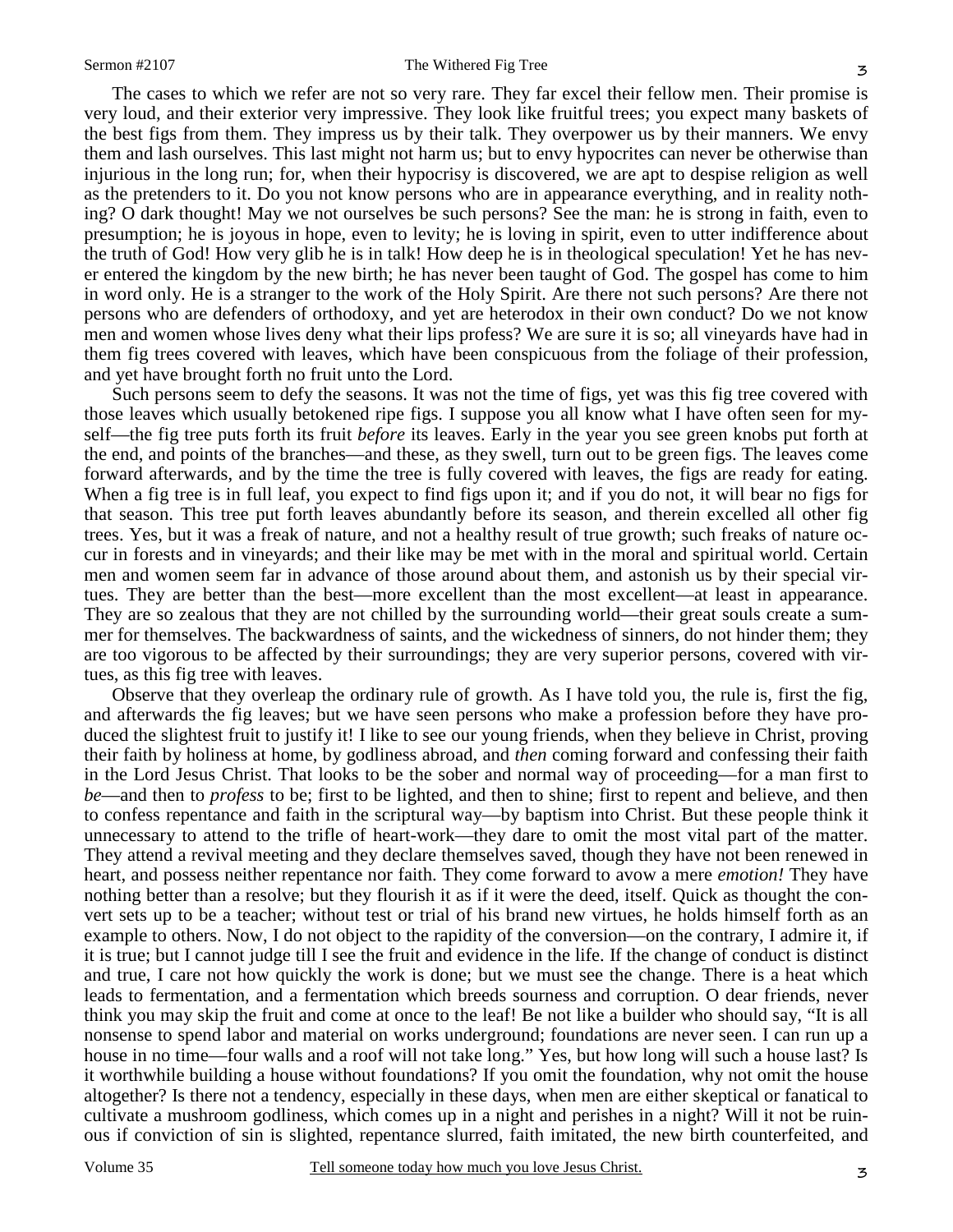The cases to which we refer are not so very rare. They far excel their fellow men. Their promise is very loud, and their exterior very impressive. They look like fruitful trees; you expect many baskets of the best figs from them. They impress us by their talk. They overpower us by their manners. We envy them and lash ourselves. This last might not harm us; but to envy hypocrites can never be otherwise than injurious in the long run; for, when their hypocrisy is discovered, we are apt to despise religion as well as the pretenders to it. Do you not know persons who are in appearance everything, and in reality nothing? O dark thought! May we not ourselves be such persons? See the man: he is strong in faith, even to presumption; he is joyous in hope, even to levity; he is loving in spirit, even to utter indifference about the truth of God! How very glib he is in talk! How deep he is in theological speculation! Yet he has never entered the kingdom by the new birth; he has never been taught of God. The gospel has come to him in word only. He is a stranger to the work of the Holy Spirit. Are there not such persons? Are there not persons who are defenders of orthodoxy, and yet are heterodox in their own conduct? Do we not know men and women whose lives deny what their lips profess? We are sure it is so; all vineyards have had in them fig trees covered with leaves, which have been conspicuous from the foliage of their profession, and yet have brought forth no fruit unto the Lord.

Such persons seem to defy the seasons. It was not the time of figs, yet was this fig tree covered with those leaves which usually betokened ripe figs. I suppose you all know what I have often seen for myself—the fig tree puts forth its fruit *before* its leaves. Early in the year you see green knobs put forth at the end, and points of the branches—and these, as they swell, turn out to be green figs. The leaves come forward afterwards, and by the time the tree is fully covered with leaves, the figs are ready for eating. When a fig tree is in full leaf, you expect to find figs upon it; and if you do not, it will bear no figs for that season. This tree put forth leaves abundantly before its season, and therein excelled all other fig trees. Yes, but it was a freak of nature, and not a healthy result of true growth; such freaks of nature occur in forests and in vineyards; and their like may be met with in the moral and spiritual world. Certain men and women seem far in advance of those around about them, and astonish us by their special virtues. They are better than the best—more excellent than the most excellent—at least in appearance. They are so zealous that they are not chilled by the surrounding world—their great souls create a summer for themselves. The backwardness of saints, and the wickedness of sinners, do not hinder them; they are too vigorous to be affected by their surroundings; they are very superior persons, covered with virtues, as this fig tree with leaves.

Observe that they overleap the ordinary rule of growth. As I have told you, the rule is, first the fig, and afterwards the fig leaves; but we have seen persons who make a profession before they have produced the slightest fruit to justify it! I like to see our young friends, when they believe in Christ, proving their faith by holiness at home, by godliness abroad, and *then* coming forward and confessing their faith in the Lord Jesus Christ. That looks to be the sober and normal way of proceeding—for a man first to *be*—and then to *profess* to be; first to be lighted, and then to shine; first to repent and believe, and then to confess repentance and faith in the scriptural way—by baptism into Christ. But these people think it unnecessary to attend to the trifle of heart-work—they dare to omit the most vital part of the matter. They attend a revival meeting and they declare themselves saved, though they have not been renewed in heart, and possess neither repentance nor faith. They come forward to avow a mere *emotion!* They have nothing better than a resolve; but they flourish it as if it were the deed, itself. Quick as thought the convert sets up to be a teacher; without test or trial of his brand new virtues, he holds himself forth as an example to others. Now, I do not object to the rapidity of the conversion—on the contrary, I admire it, if it is true; but I cannot judge till I see the fruit and evidence in the life. If the change of conduct is distinct and true, I care not how quickly the work is done; but we must see the change. There is a heat which leads to fermentation, and a fermentation which breeds sourness and corruption. O dear friends, never think you may skip the fruit and come at once to the leaf! Be not like a builder who should say, "It is all nonsense to spend labor and material on works underground; foundations are never seen. I can run up a house in no time—four walls and a roof will not take long." Yes, but how long will such a house last? Is it worthwhile building a house without foundations? If you omit the foundation, why not omit the house altogether? Is there not a tendency, especially in these days, when men are either skeptical or fanatical to cultivate a mushroom godliness, which comes up in a night and perishes in a night? Will it not be ruinous if conviction of sin is slighted, repentance slurred, faith imitated, the new birth counterfeited, and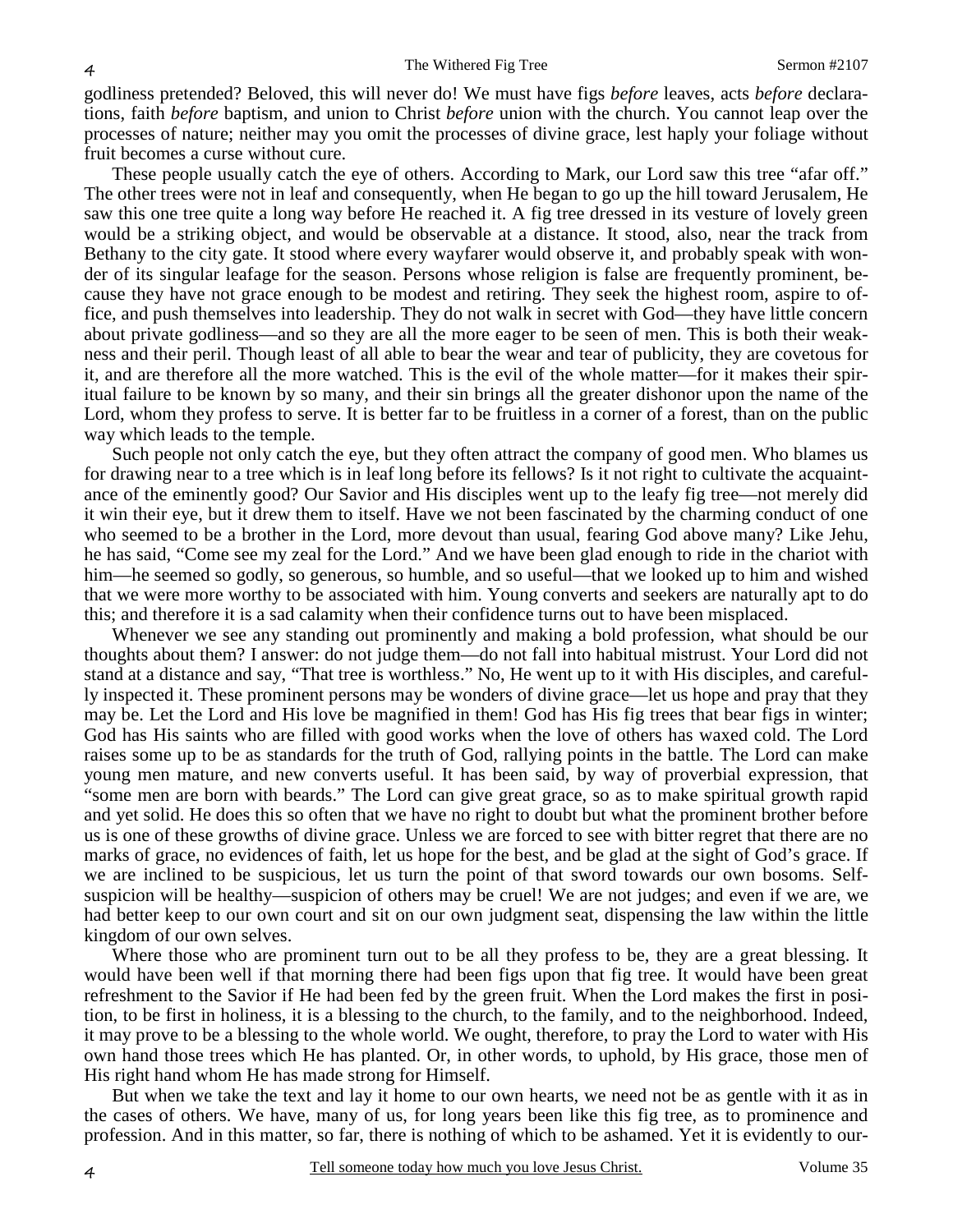godliness pretended? Beloved, this will never do! We must have figs *before* leaves, acts *before* declarations, faith *before* baptism, and union to Christ *before* union with the church. You cannot leap over the processes of nature; neither may you omit the processes of divine grace, lest haply your foliage without fruit becomes a curse without cure.

These people usually catch the eye of others. According to Mark, our Lord saw this tree "afar off." The other trees were not in leaf and consequently, when He began to go up the hill toward Jerusalem, He saw this one tree quite a long way before He reached it. A fig tree dressed in its vesture of lovely green would be a striking object, and would be observable at a distance. It stood, also, near the track from Bethany to the city gate. It stood where every wayfarer would observe it, and probably speak with wonder of its singular leafage for the season. Persons whose religion is false are frequently prominent, because they have not grace enough to be modest and retiring. They seek the highest room, aspire to office, and push themselves into leadership. They do not walk in secret with God—they have little concern about private godliness—and so they are all the more eager to be seen of men. This is both their weakness and their peril. Though least of all able to bear the wear and tear of publicity, they are covetous for it, and are therefore all the more watched. This is the evil of the whole matter—for it makes their spiritual failure to be known by so many, and their sin brings all the greater dishonor upon the name of the Lord, whom they profess to serve. It is better far to be fruitless in a corner of a forest, than on the public way which leads to the temple.

Such people not only catch the eye, but they often attract the company of good men. Who blames us for drawing near to a tree which is in leaf long before its fellows? Is it not right to cultivate the acquaintance of the eminently good? Our Savior and His disciples went up to the leafy fig tree—not merely did it win their eye, but it drew them to itself. Have we not been fascinated by the charming conduct of one who seemed to be a brother in the Lord, more devout than usual, fearing God above many? Like Jehu, he has said, "Come see my zeal for the Lord." And we have been glad enough to ride in the chariot with him—he seemed so godly, so generous, so humble, and so useful—that we looked up to him and wished that we were more worthy to be associated with him. Young converts and seekers are naturally apt to do this; and therefore it is a sad calamity when their confidence turns out to have been misplaced.

Whenever we see any standing out prominently and making a bold profession, what should be our thoughts about them? I answer: do not judge them—do not fall into habitual mistrust. Your Lord did not stand at a distance and say, "That tree is worthless." No, He went up to it with His disciples, and carefully inspected it. These prominent persons may be wonders of divine grace—let us hope and pray that they may be. Let the Lord and His love be magnified in them! God has His fig trees that bear figs in winter; God has His saints who are filled with good works when the love of others has waxed cold. The Lord raises some up to be as standards for the truth of God, rallying points in the battle. The Lord can make young men mature, and new converts useful. It has been said, by way of proverbial expression, that "some men are born with beards." The Lord can give great grace, so as to make spiritual growth rapid and yet solid. He does this so often that we have no right to doubt but what the prominent brother before us is one of these growths of divine grace. Unless we are forced to see with bitter regret that there are no marks of grace, no evidences of faith, let us hope for the best, and be glad at the sight of God's grace. If we are inclined to be suspicious, let us turn the point of that sword towards our own bosoms. Selfsuspicion will be healthy—suspicion of others may be cruel! We are not judges; and even if we are, we had better keep to our own court and sit on our own judgment seat, dispensing the law within the little kingdom of our own selves.

Where those who are prominent turn out to be all they profess to be, they are a great blessing. It would have been well if that morning there had been figs upon that fig tree. It would have been great refreshment to the Savior if He had been fed by the green fruit. When the Lord makes the first in position, to be first in holiness, it is a blessing to the church, to the family, and to the neighborhood. Indeed, it may prove to be a blessing to the whole world. We ought, therefore, to pray the Lord to water with His own hand those trees which He has planted. Or, in other words, to uphold, by His grace, those men of His right hand whom He has made strong for Himself.

But when we take the text and lay it home to our own hearts, we need not be as gentle with it as in the cases of others. We have, many of us, for long years been like this fig tree, as to prominence and profession. And in this matter, so far, there is nothing of which to be ashamed. Yet it is evidently to our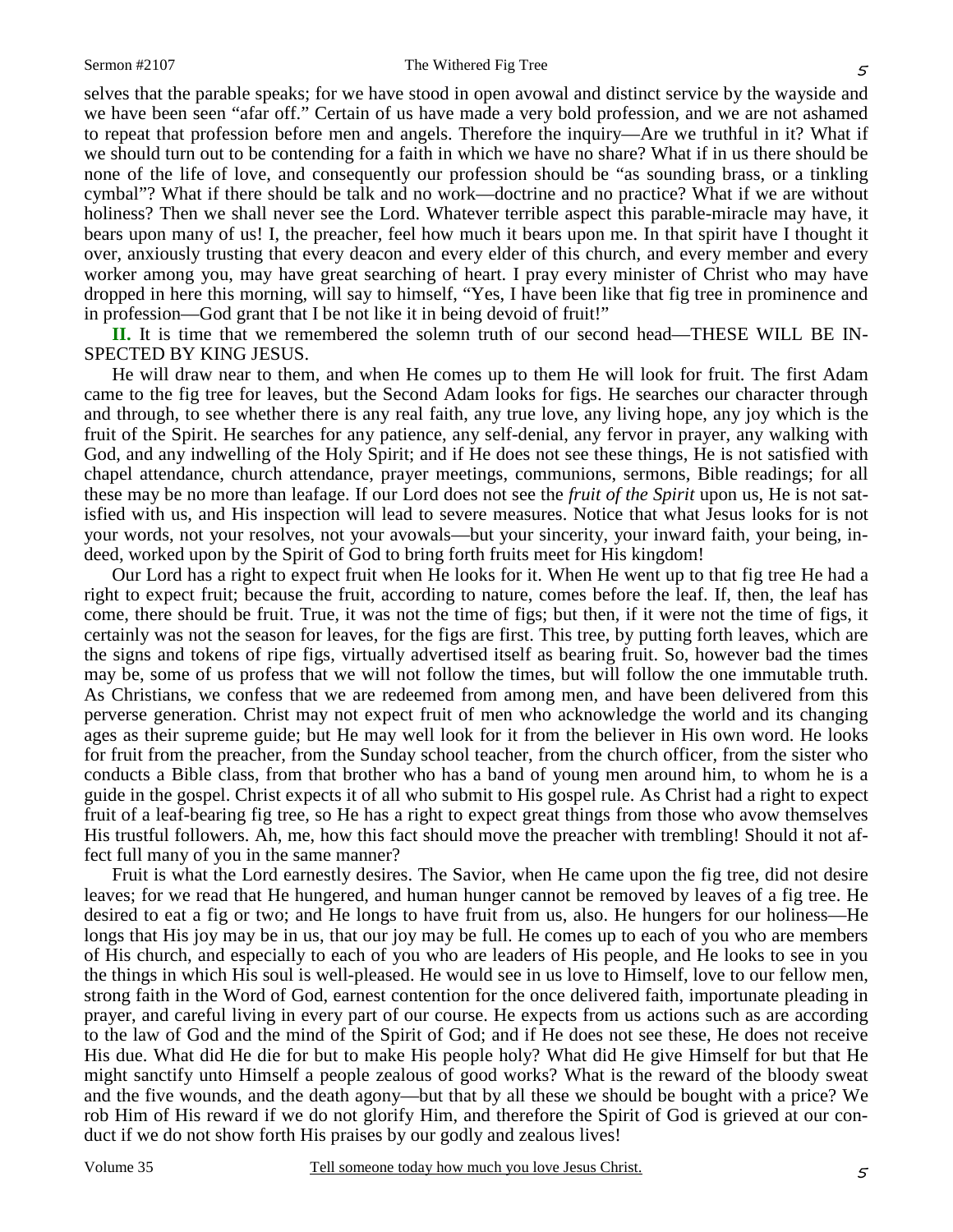selves that the parable speaks; for we have stood in open avowal and distinct service by the wayside and we have been seen "afar off." Certain of us have made a very bold profession, and we are not ashamed to repeat that profession before men and angels. Therefore the inquiry—Are we truthful in it? What if we should turn out to be contending for a faith in which we have no share? What if in us there should be none of the life of love, and consequently our profession should be "as sounding brass, or a tinkling cymbal"? What if there should be talk and no work—doctrine and no practice? What if we are without holiness? Then we shall never see the Lord. Whatever terrible aspect this parable-miracle may have, it bears upon many of us! I, the preacher, feel how much it bears upon me. In that spirit have I thought it over, anxiously trusting that every deacon and every elder of this church, and every member and every worker among you, may have great searching of heart. I pray every minister of Christ who may have dropped in here this morning, will say to himself, "Yes, I have been like that fig tree in prominence and in profession—God grant that I be not like it in being devoid of fruit!"

**II.** It is time that we remembered the solemn truth of our second head—THESE WILL BE IN-SPECTED BY KING JESUS.

He will draw near to them, and when He comes up to them He will look for fruit. The first Adam came to the fig tree for leaves, but the Second Adam looks for figs. He searches our character through and through, to see whether there is any real faith, any true love, any living hope, any joy which is the fruit of the Spirit. He searches for any patience, any self-denial, any fervor in prayer, any walking with God, and any indwelling of the Holy Spirit; and if He does not see these things, He is not satisfied with chapel attendance, church attendance, prayer meetings, communions, sermons, Bible readings; for all these may be no more than leafage. If our Lord does not see the *fruit of the Spirit* upon us, He is not satisfied with us, and His inspection will lead to severe measures. Notice that what Jesus looks for is not your words, not your resolves, not your avowals—but your sincerity, your inward faith, your being, indeed, worked upon by the Spirit of God to bring forth fruits meet for His kingdom!

Our Lord has a right to expect fruit when He looks for it. When He went up to that fig tree He had a right to expect fruit; because the fruit, according to nature, comes before the leaf. If, then, the leaf has come, there should be fruit. True, it was not the time of figs; but then, if it were not the time of figs, it certainly was not the season for leaves, for the figs are first. This tree, by putting forth leaves, which are the signs and tokens of ripe figs, virtually advertised itself as bearing fruit. So, however bad the times may be, some of us profess that we will not follow the times, but will follow the one immutable truth. As Christians, we confess that we are redeemed from among men, and have been delivered from this perverse generation. Christ may not expect fruit of men who acknowledge the world and its changing ages as their supreme guide; but He may well look for it from the believer in His own word. He looks for fruit from the preacher, from the Sunday school teacher, from the church officer, from the sister who conducts a Bible class, from that brother who has a band of young men around him, to whom he is a guide in the gospel. Christ expects it of all who submit to His gospel rule. As Christ had a right to expect fruit of a leaf-bearing fig tree, so He has a right to expect great things from those who avow themselves His trustful followers. Ah, me, how this fact should move the preacher with trembling! Should it not affect full many of you in the same manner?

Fruit is what the Lord earnestly desires. The Savior, when He came upon the fig tree, did not desire leaves; for we read that He hungered, and human hunger cannot be removed by leaves of a fig tree. He desired to eat a fig or two; and He longs to have fruit from us, also. He hungers for our holiness—He longs that His joy may be in us, that our joy may be full. He comes up to each of you who are members of His church, and especially to each of you who are leaders of His people, and He looks to see in you the things in which His soul is well-pleased. He would see in us love to Himself, love to our fellow men, strong faith in the Word of God, earnest contention for the once delivered faith, importunate pleading in prayer, and careful living in every part of our course. He expects from us actions such as are according to the law of God and the mind of the Spirit of God; and if He does not see these, He does not receive His due. What did He die for but to make His people holy? What did He give Himself for but that He might sanctify unto Himself a people zealous of good works? What is the reward of the bloody sweat and the five wounds, and the death agony—but that by all these we should be bought with a price? We rob Him of His reward if we do not glorify Him, and therefore the Spirit of God is grieved at our conduct if we do not show forth His praises by our godly and zealous lives!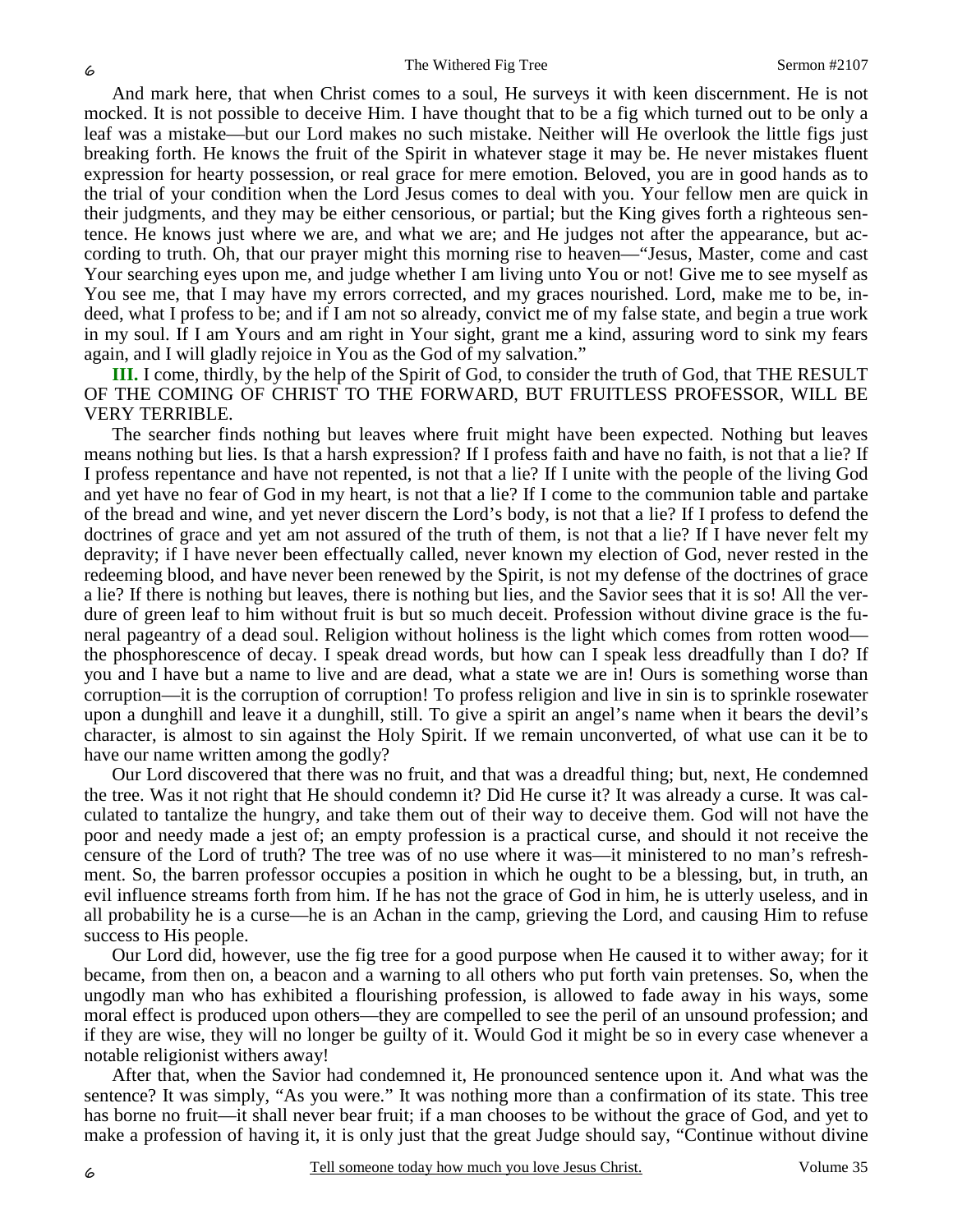And mark here, that when Christ comes to a soul, He surveys it with keen discernment. He is not mocked. It is not possible to deceive Him. I have thought that to be a fig which turned out to be only a leaf was a mistake—but our Lord makes no such mistake. Neither will He overlook the little figs just breaking forth. He knows the fruit of the Spirit in whatever stage it may be. He never mistakes fluent expression for hearty possession, or real grace for mere emotion. Beloved, you are in good hands as to the trial of your condition when the Lord Jesus comes to deal with you. Your fellow men are quick in their judgments, and they may be either censorious, or partial; but the King gives forth a righteous sentence. He knows just where we are, and what we are; and He judges not after the appearance, but according to truth. Oh, that our prayer might this morning rise to heaven—"Jesus, Master, come and cast Your searching eyes upon me, and judge whether I am living unto You or not! Give me to see myself as You see me, that I may have my errors corrected, and my graces nourished. Lord, make me to be, indeed, what I profess to be; and if I am not so already, convict me of my false state, and begin a true work in my soul. If I am Yours and am right in Your sight, grant me a kind, assuring word to sink my fears again, and I will gladly rejoice in You as the God of my salvation."

**III.** I come, thirdly, by the help of the Spirit of God, to consider the truth of God, that THE RESULT OF THE COMING OF CHRIST TO THE FORWARD, BUT FRUITLESS PROFESSOR, WILL BE VERY TERRIBLE.

The searcher finds nothing but leaves where fruit might have been expected. Nothing but leaves means nothing but lies. Is that a harsh expression? If I profess faith and have no faith, is not that a lie? If I profess repentance and have not repented, is not that a lie? If I unite with the people of the living God and yet have no fear of God in my heart, is not that a lie? If I come to the communion table and partake of the bread and wine, and yet never discern the Lord's body, is not that a lie? If I profess to defend the doctrines of grace and yet am not assured of the truth of them, is not that a lie? If I have never felt my depravity; if I have never been effectually called, never known my election of God, never rested in the redeeming blood, and have never been renewed by the Spirit, is not my defense of the doctrines of grace a lie? If there is nothing but leaves, there is nothing but lies, and the Savior sees that it is so! All the verdure of green leaf to him without fruit is but so much deceit. Profession without divine grace is the funeral pageantry of a dead soul. Religion without holiness is the light which comes from rotten wood the phosphorescence of decay. I speak dread words, but how can I speak less dreadfully than I do? If you and I have but a name to live and are dead, what a state we are in! Ours is something worse than corruption—it is the corruption of corruption! To profess religion and live in sin is to sprinkle rosewater upon a dunghill and leave it a dunghill, still. To give a spirit an angel's name when it bears the devil's character, is almost to sin against the Holy Spirit. If we remain unconverted, of what use can it be to have our name written among the godly?

Our Lord discovered that there was no fruit, and that was a dreadful thing; but, next, He condemned the tree. Was it not right that He should condemn it? Did He curse it? It was already a curse. It was calculated to tantalize the hungry, and take them out of their way to deceive them. God will not have the poor and needy made a jest of; an empty profession is a practical curse, and should it not receive the censure of the Lord of truth? The tree was of no use where it was—it ministered to no man's refreshment. So, the barren professor occupies a position in which he ought to be a blessing, but, in truth, an evil influence streams forth from him. If he has not the grace of God in him, he is utterly useless, and in all probability he is a curse—he is an Achan in the camp, grieving the Lord, and causing Him to refuse success to His people.

Our Lord did, however, use the fig tree for a good purpose when He caused it to wither away; for it became, from then on, a beacon and a warning to all others who put forth vain pretenses. So, when the ungodly man who has exhibited a flourishing profession, is allowed to fade away in his ways, some moral effect is produced upon others—they are compelled to see the peril of an unsound profession; and if they are wise, they will no longer be guilty of it. Would God it might be so in every case whenever a notable religionist withers away!

After that, when the Savior had condemned it, He pronounced sentence upon it. And what was the sentence? It was simply, "As you were." It was nothing more than a confirmation of its state. This tree has borne no fruit—it shall never bear fruit; if a man chooses to be without the grace of God, and yet to make a profession of having it, it is only just that the great Judge should say, "Continue without divine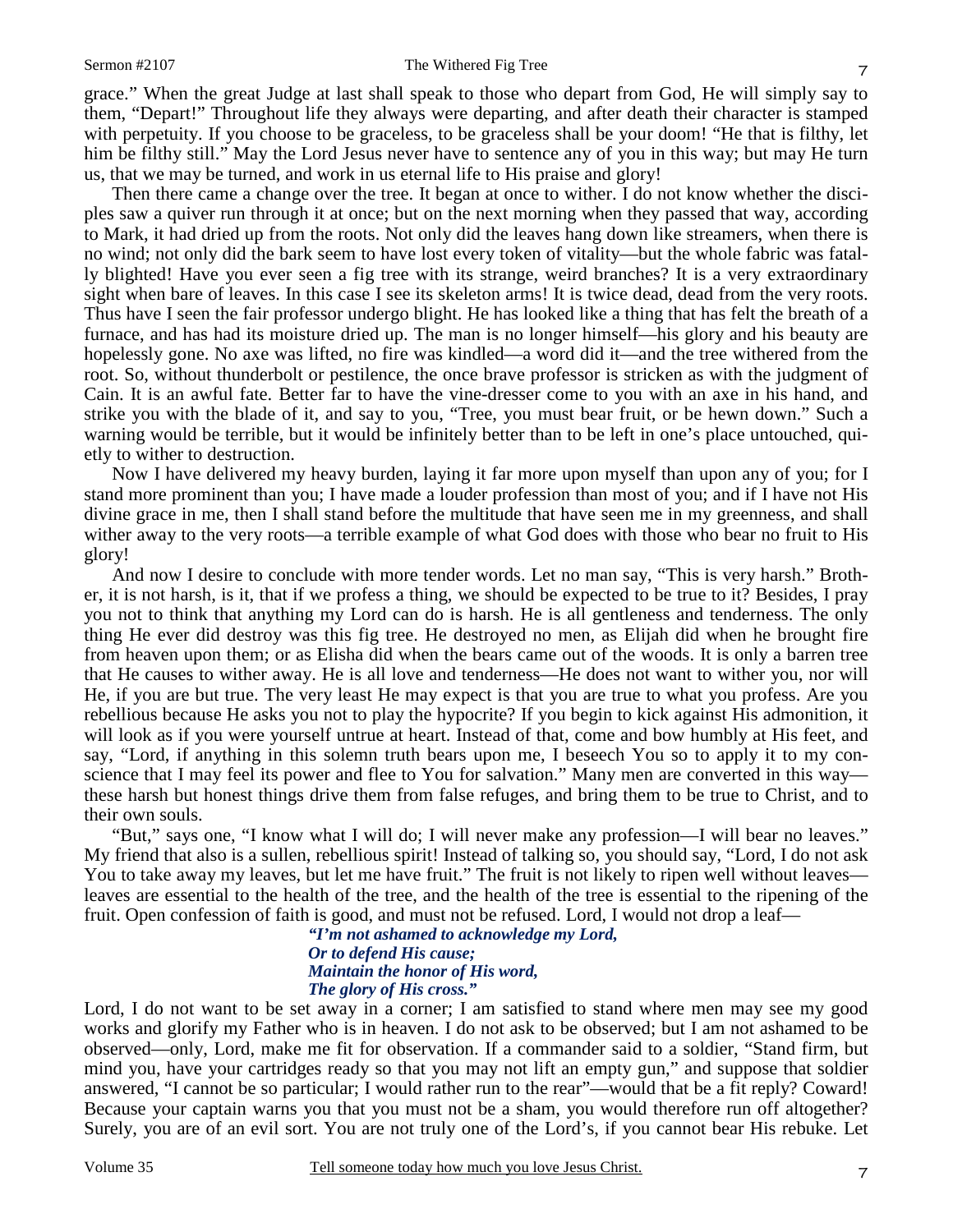#### Sermon #2107 The Withered Fig Tree

grace." When the great Judge at last shall speak to those who depart from God, He will simply say to them, "Depart!" Throughout life they always were departing, and after death their character is stamped with perpetuity. If you choose to be graceless, to be graceless shall be your doom! "He that is filthy, let him be filthy still." May the Lord Jesus never have to sentence any of you in this way; but may He turn us, that we may be turned, and work in us eternal life to His praise and glory!

Then there came a change over the tree. It began at once to wither. I do not know whether the disciples saw a quiver run through it at once; but on the next morning when they passed that way, according to Mark, it had dried up from the roots. Not only did the leaves hang down like streamers, when there is no wind; not only did the bark seem to have lost every token of vitality—but the whole fabric was fatally blighted! Have you ever seen a fig tree with its strange, weird branches? It is a very extraordinary sight when bare of leaves. In this case I see its skeleton arms! It is twice dead, dead from the very roots. Thus have I seen the fair professor undergo blight. He has looked like a thing that has felt the breath of a furnace, and has had its moisture dried up. The man is no longer himself—his glory and his beauty are hopelessly gone. No axe was lifted, no fire was kindled—a word did it—and the tree withered from the root. So, without thunderbolt or pestilence, the once brave professor is stricken as with the judgment of Cain. It is an awful fate. Better far to have the vine-dresser come to you with an axe in his hand, and strike you with the blade of it, and say to you, "Tree, you must bear fruit, or be hewn down." Such a warning would be terrible, but it would be infinitely better than to be left in one's place untouched, quietly to wither to destruction.

Now I have delivered my heavy burden, laying it far more upon myself than upon any of you; for I stand more prominent than you; I have made a louder profession than most of you; and if I have not His divine grace in me, then I shall stand before the multitude that have seen me in my greenness, and shall wither away to the very roots—a terrible example of what God does with those who bear no fruit to His glory!

And now I desire to conclude with more tender words. Let no man say, "This is very harsh." Brother, it is not harsh, is it, that if we profess a thing, we should be expected to be true to it? Besides, I pray you not to think that anything my Lord can do is harsh. He is all gentleness and tenderness. The only thing He ever did destroy was this fig tree. He destroyed no men, as Elijah did when he brought fire from heaven upon them; or as Elisha did when the bears came out of the woods. It is only a barren tree that He causes to wither away. He is all love and tenderness—He does not want to wither you, nor will He, if you are but true. The very least He may expect is that you are true to what you profess. Are you rebellious because He asks you not to play the hypocrite? If you begin to kick against His admonition, it will look as if you were yourself untrue at heart. Instead of that, come and bow humbly at His feet, and say, "Lord, if anything in this solemn truth bears upon me, I beseech You so to apply it to my conscience that I may feel its power and flee to You for salvation." Many men are converted in this way these harsh but honest things drive them from false refuges, and bring them to be true to Christ, and to their own souls.

"But," says one, "I know what I will do; I will never make any profession—I will bear no leaves." My friend that also is a sullen, rebellious spirit! Instead of talking so, you should say, "Lord, I do not ask You to take away my leaves, but let me have fruit." The fruit is not likely to ripen well without leaves leaves are essential to the health of the tree, and the health of the tree is essential to the ripening of the fruit. Open confession of faith is good, and must not be refused. Lord, I would not drop a leaf—

*"I'm not ashamed to acknowledge my Lord, Or to defend His cause; Maintain the honor of His word, The glory of His cross."* 

Lord, I do not want to be set away in a corner; I am satisfied to stand where men may see my good works and glorify my Father who is in heaven. I do not ask to be observed; but I am not ashamed to be observed—only, Lord, make me fit for observation. If a commander said to a soldier, "Stand firm, but mind you, have your cartridges ready so that you may not lift an empty gun," and suppose that soldier answered, "I cannot be so particular; I would rather run to the rear"—would that be a fit reply? Coward! Because your captain warns you that you must not be a sham, you would therefore run off altogether? Surely, you are of an evil sort. You are not truly one of the Lord's, if you cannot bear His rebuke. Let